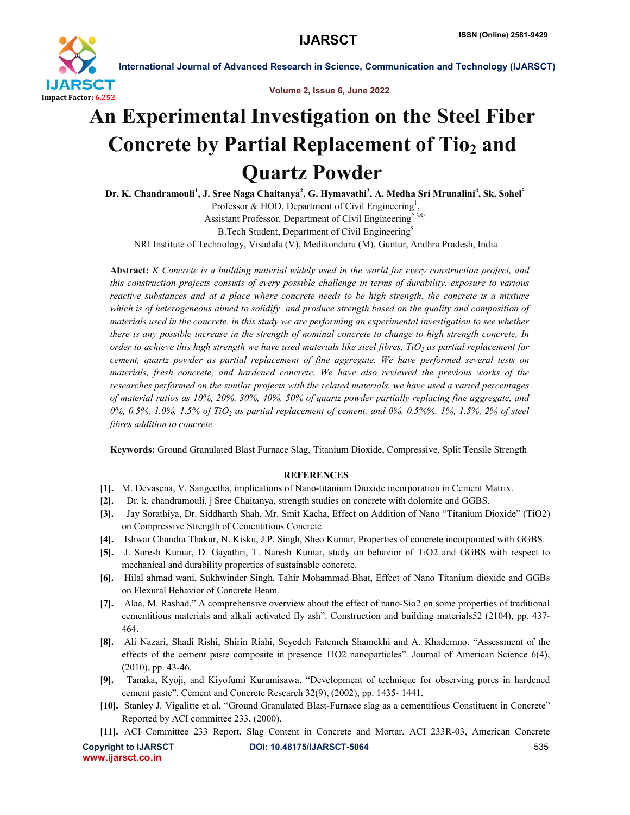

International Journal of Advanced Research in Science, Communication and Technology (IJARSCT)

Volume 2, Issue 6, June 2022

## An Experimental Investigation on the Steel Fiber Concrete by Partial Replacement of Tio<sub>2</sub> and Quartz Powder

Dr. K. Chandramouli<sup>1</sup>, J. Sree Naga Chaitanya<sup>2</sup>, G. Hymavathi<sup>3</sup>, A. Medha Sri Mrunalini<sup>4</sup>, Sk. Sohel<sup>5</sup> Professor & HOD, Department of Civil Engineering<sup>1</sup>, Assistant Professor, Department of Civil Engineering<sup>2,3&4</sup> B.Tech Student, Department of Civil Engineering<sup>5</sup>

NRI Institute of Technology, Visadala (V), Medikonduru (M), Guntur, Andhra Pradesh, India

Abstract: *K Concrete is a building material widely used in the world for every construction project, and this construction projects consists of every possible challenge in terms of durability, exposure to various reactive substances and at a place where concrete needs to be high strength. the concrete is a mixture which is of heterogeneous aimed to solidify and produce strength based on the quality and composition of materials used in the concrete. in this study we are performing an experimental investigation to see whether there is any possible increase in the strength of nominal concrete to change to high strength concrete, In order to achieve this high strength we have used materials like steel fibres,*  $TiO<sub>2</sub>$  *as partial replacement for cement, quartz powder as partial replacement of fine aggregate. We have performed several tests on materials, fresh concrete, and hardened concrete. We have also reviewed the previous works of the researches performed on the similar projects with the related materials. we have used a varied percentages of material ratios as 10%, 20%, 30%, 40%, 50% of quartz powder partially replacing fine aggregate, and 0%, 0.5%, 1.0%, 1.5% of TiO2 as partial replacement of cement, and 0%, 0.5%%, 1%, 1.5%, 2% of steel fibres addition to concrete.*

Keywords: Ground Granulated Blast Furnace Slag, Titanium Dioxide, Compressive, Split Tensile Strength

## **REFERENCES**

- [1]. M. Devasena, V. Sangeetha, implications of Nano-titanium Dioxide incorporation in Cement Matrix.
- [2]. Dr. k. chandramouli, j Sree Chaitanya, strength studies on concrete with dolomite and GGBS.
- [3]. Jay Sorathiya, Dr. Siddharth Shah, Mr. Smit Kacha, Effect on Addition of Nano "Titanium Dioxide" (TiO2) on Compressive Strength of Cementitious Concrete.
- [4]. Ishwar Chandra Thakur, N. Kisku, J.P. Singh, Sheo Kumar, Properties of concrete incorporated with GGBS.
- [5]. J. Suresh Kumar, D. Gayathri, T. Naresh Kumar, study on behavior of TiO2 and GGBS with respect to mechanical and durability properties of sustainable concrete.
- [6]. Hilal ahmad wani, Sukhwinder Singh, Tahir Mohammad Bhat, Effect of Nano Titanium dioxide and GGBs on Flexural Behavior of Concrete Beam.
- [7]. Alaa, M. Rashad." A comprehensive overview about the effect of nano-Sio2 on some properties of traditional cementitious materials and alkali activated fly ash". Construction and building materials52 (2104), pp. 437- 464.
- [8]. Ali Nazari, Shadi Rishi, Shirin Riahi, Seyedeh Fatemeh Shamekhi and A. Khademno. "Assessment of the effects of the cement paste composite in presence TIO2 nanoparticles". Journal of American Science 6(4), (2010), pp. 43-46.
- [9]. Tanaka, Kyoji, and Kiyofumi Kurumisawa. "Development of technique for observing pores in hardened cement paste". Cement and Concrete Research 32(9), (2002), pp. 1435- 1441.
- [10]. Stanley J. Vigalitte et al, "Ground Granulated Blast-Furnace slag as a cementitious Constituent in Concrete" Reported by ACI committee 233, (2000).
- [11]. ACI Committee 233 Report, Slag Content in Concrete and Mortar. ACI 233R-03, American Concrete

www.ijarsct.co.in